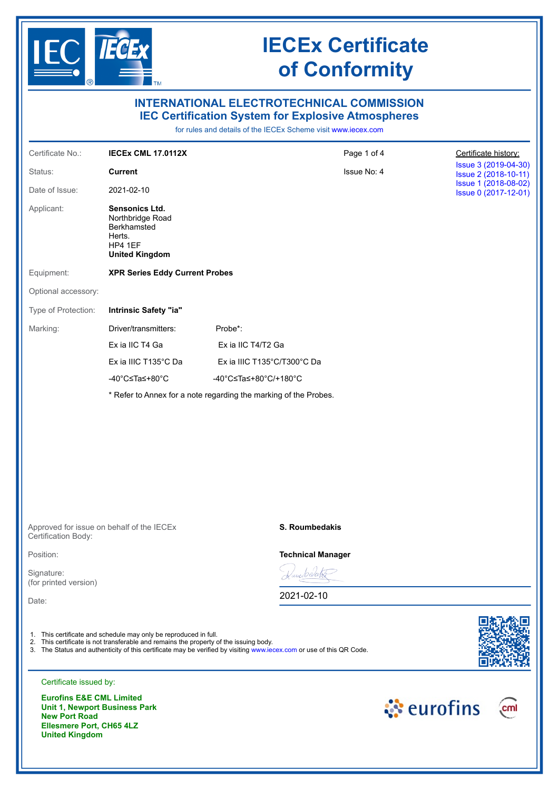

| Certificate No.:<br><b>IECEX CML 17.0112X</b><br>Page 1 of 4<br>Certificate history:<br>Issue No: 4<br>Status:<br><b>Current</b><br>Date of Issue:<br>2021-02-10<br>Applicant:<br>Sensonics Ltd.<br>Northbridge Road<br>Berkhamsted<br>Herts.<br>HP4 1EF<br><b>United Kingdom</b><br>Equipment:<br><b>XPR Series Eddy Current Probes</b><br>Intrinsic Safety "ia"<br>Driver/transmitters:<br>Probe*:<br>Ex ia IIC T4 Ga<br>Ex ia IIC T4/T2 Ga<br>Ex ia IIIC T135°C Da<br>Ex ia IIIC T135°C/T300°C Da<br>-40°C≤Ta≤+80°C<br>-40°C≤Ta≤+80°C/+180°C<br>* Refer to Annex for a note regarding the marking of the Probes.<br>S. Roumbedakis<br><b>Technical Manager</b><br>amberah<br>2021-02-10<br>1. This certificate and schedule may only be reproduced in full.<br>2. This certificate is not transferable and remains the property of the issuing body.<br>3. The Status and authenticity of this certificate may be verified by visiting www.iecex.com or use of this QR Code. |                                     |  |                                              | <b>INTERNATIONAL ELECTROTECHNICAL COMMISSION</b><br><b>IEC Certification System for Explosive Atmospheres</b><br>for rules and details of the IECEx Scheme visit www.iecex.com |                                              |  |  |  |  |  |  |  |
|---------------------------------------------------------------------------------------------------------------------------------------------------------------------------------------------------------------------------------------------------------------------------------------------------------------------------------------------------------------------------------------------------------------------------------------------------------------------------------------------------------------------------------------------------------------------------------------------------------------------------------------------------------------------------------------------------------------------------------------------------------------------------------------------------------------------------------------------------------------------------------------------------------------------------------------------------------------------------------|-------------------------------------|--|----------------------------------------------|--------------------------------------------------------------------------------------------------------------------------------------------------------------------------------|----------------------------------------------|--|--|--|--|--|--|--|
|                                                                                                                                                                                                                                                                                                                                                                                                                                                                                                                                                                                                                                                                                                                                                                                                                                                                                                                                                                                 |                                     |  |                                              |                                                                                                                                                                                |                                              |  |  |  |  |  |  |  |
|                                                                                                                                                                                                                                                                                                                                                                                                                                                                                                                                                                                                                                                                                                                                                                                                                                                                                                                                                                                 |                                     |  |                                              |                                                                                                                                                                                | Issue 3 (2019-04-30)<br>Issue 2 (2018-10-11) |  |  |  |  |  |  |  |
|                                                                                                                                                                                                                                                                                                                                                                                                                                                                                                                                                                                                                                                                                                                                                                                                                                                                                                                                                                                 |                                     |  | Issue 1 (2018-08-02)<br>Issue 0 (2017-12-01) |                                                                                                                                                                                |                                              |  |  |  |  |  |  |  |
|                                                                                                                                                                                                                                                                                                                                                                                                                                                                                                                                                                                                                                                                                                                                                                                                                                                                                                                                                                                 |                                     |  |                                              |                                                                                                                                                                                |                                              |  |  |  |  |  |  |  |
|                                                                                                                                                                                                                                                                                                                                                                                                                                                                                                                                                                                                                                                                                                                                                                                                                                                                                                                                                                                 |                                     |  |                                              |                                                                                                                                                                                |                                              |  |  |  |  |  |  |  |
| Type of Protection:                                                                                                                                                                                                                                                                                                                                                                                                                                                                                                                                                                                                                                                                                                                                                                                                                                                                                                                                                             | Optional accessory:                 |  |                                              |                                                                                                                                                                                |                                              |  |  |  |  |  |  |  |
| Marking:<br>Approved for issue on behalf of the IECEx<br>Certification Body:<br>Position:<br>Date:                                                                                                                                                                                                                                                                                                                                                                                                                                                                                                                                                                                                                                                                                                                                                                                                                                                                              |                                     |  |                                              |                                                                                                                                                                                |                                              |  |  |  |  |  |  |  |
|                                                                                                                                                                                                                                                                                                                                                                                                                                                                                                                                                                                                                                                                                                                                                                                                                                                                                                                                                                                 |                                     |  |                                              |                                                                                                                                                                                |                                              |  |  |  |  |  |  |  |
|                                                                                                                                                                                                                                                                                                                                                                                                                                                                                                                                                                                                                                                                                                                                                                                                                                                                                                                                                                                 |                                     |  |                                              |                                                                                                                                                                                |                                              |  |  |  |  |  |  |  |
|                                                                                                                                                                                                                                                                                                                                                                                                                                                                                                                                                                                                                                                                                                                                                                                                                                                                                                                                                                                 |                                     |  |                                              |                                                                                                                                                                                |                                              |  |  |  |  |  |  |  |
|                                                                                                                                                                                                                                                                                                                                                                                                                                                                                                                                                                                                                                                                                                                                                                                                                                                                                                                                                                                 |                                     |  |                                              |                                                                                                                                                                                |                                              |  |  |  |  |  |  |  |
|                                                                                                                                                                                                                                                                                                                                                                                                                                                                                                                                                                                                                                                                                                                                                                                                                                                                                                                                                                                 |                                     |  |                                              |                                                                                                                                                                                |                                              |  |  |  |  |  |  |  |
|                                                                                                                                                                                                                                                                                                                                                                                                                                                                                                                                                                                                                                                                                                                                                                                                                                                                                                                                                                                 |                                     |  |                                              |                                                                                                                                                                                |                                              |  |  |  |  |  |  |  |
|                                                                                                                                                                                                                                                                                                                                                                                                                                                                                                                                                                                                                                                                                                                                                                                                                                                                                                                                                                                 |                                     |  |                                              |                                                                                                                                                                                |                                              |  |  |  |  |  |  |  |
|                                                                                                                                                                                                                                                                                                                                                                                                                                                                                                                                                                                                                                                                                                                                                                                                                                                                                                                                                                                 |                                     |  |                                              |                                                                                                                                                                                |                                              |  |  |  |  |  |  |  |
|                                                                                                                                                                                                                                                                                                                                                                                                                                                                                                                                                                                                                                                                                                                                                                                                                                                                                                                                                                                 | Signature:<br>(for printed version) |  |                                              |                                                                                                                                                                                |                                              |  |  |  |  |  |  |  |
|                                                                                                                                                                                                                                                                                                                                                                                                                                                                                                                                                                                                                                                                                                                                                                                                                                                                                                                                                                                 |                                     |  |                                              |                                                                                                                                                                                |                                              |  |  |  |  |  |  |  |
|                                                                                                                                                                                                                                                                                                                                                                                                                                                                                                                                                                                                                                                                                                                                                                                                                                                                                                                                                                                 |                                     |  |                                              |                                                                                                                                                                                |                                              |  |  |  |  |  |  |  |

**Eurofins E&E CML Limited Unit 1, Newport Business Park New Port Road Ellesmere Port, CH65 4LZ United Kingdom**

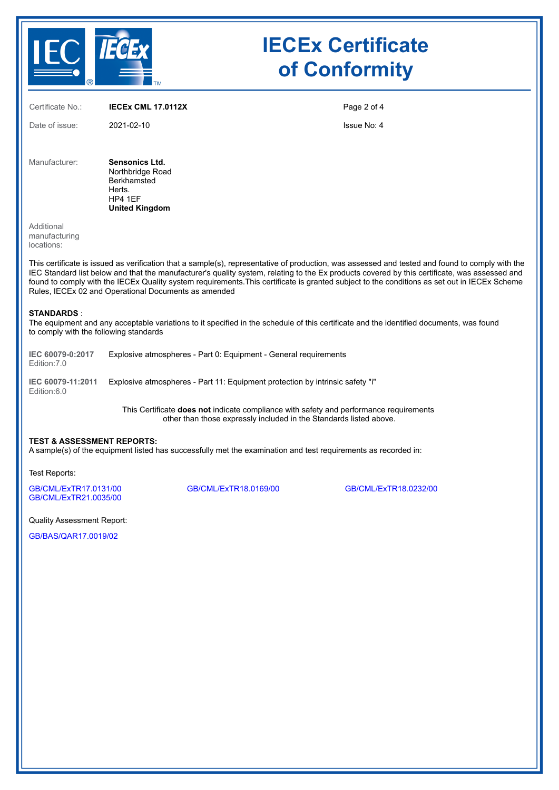

Certificate No.: **IECEx CML 17.0112X** Date of issue: 2021-02-10 Page 2 of 4 Issue No: 4 Manufacturer: **Sensonics Ltd.** Northbridge Road **Berkhamsted** Herts. HP4 1EF **United Kingdom** Additional manufacturing locations: This certificate is issued as verification that a sample(s), representative of production, was assessed and tested and found to comply with the IEC Standard list below and that the manufacturer's quality system, relating to the Ex products covered by this certificate, was assessed and found to comply with the IECEx Quality system requirements.This certificate is granted subject to the conditions as set out in IECEx Scheme Rules, IECEx 02 and Operational Documents as amended **STANDARDS** : The equipment and any acceptable variations to it specified in the schedule of this certificate and the identified documents, was found to comply with the following standards **IEC 60079-0:2017** Edition:7.0 Explosive atmospheres - Part 0: Equipment - General requirements **IEC 60079-11:2011** Explosive atmospheres - Part 11: Equipment protection by intrinsic safety "i" Edition:6.0

> This Certificate **does not** indicate compliance with safety and performance requirements other than those expressly included in the Standards listed above.

#### **TEST & ASSESSMENT REPORTS:**

A sample(s) of the equipment listed has successfully met the examination and test requirements as recorded in:

Test Reports:

[GB/CML/ExTR17.0131/00](https://www.iecex-certs.com/deliverables/REPORT/21947/view) [GB/CML/ExTR18.0169/00](https://www.iecex-certs.com/deliverables/REPORT/21495/view) [GB/CML/ExTR18.0232/00](https://www.iecex-certs.com/deliverables/REPORT/21622/view) [GB/CML/ExTR21.0035/00](https://www.iecex-certs.com/deliverables/REPORT/71319/view)

Quality Assessment Report:

[GB/BAS/QAR17.0019/02](https://www.iecex-certs.com/deliverables/REPORT/66897/view)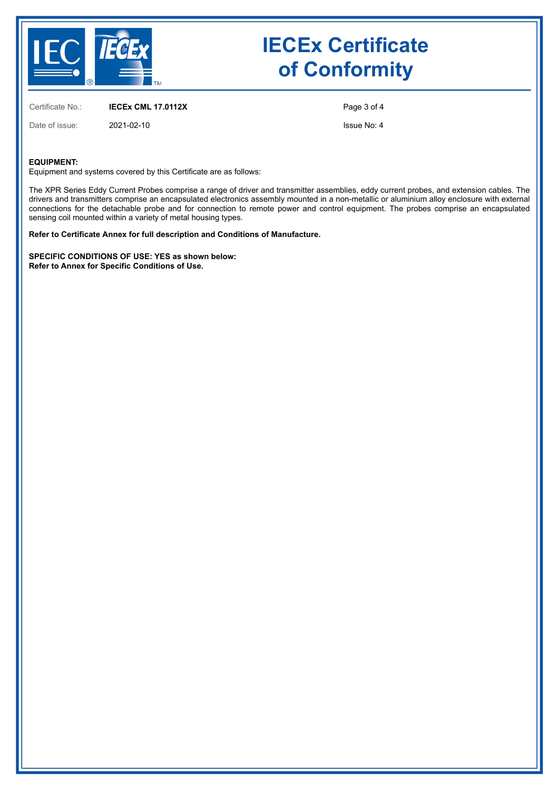

Certificate No.: **IECEx CML 17.0112X**

Date of issue: 2021-02-10

Page 3 of 4

Issue No: 4

#### **EQUIPMENT:**

Equipment and systems covered by this Certificate are as follows:

The XPR Series Eddy Current Probes comprise a range of driver and transmitter assemblies, eddy current probes, and extension cables. The drivers and transmitters comprise an encapsulated electronics assembly mounted in a non-metallic or aluminium alloy enclosure with external connections for the detachable probe and for connection to remote power and control equipment. The probes comprise an encapsulated sensing coil mounted within a variety of metal housing types.

**Refer to Certificate Annex for full description and Conditions of Manufacture.**

**SPECIFIC CONDITIONS OF USE: YES as shown below: Refer to Annex for Specific Conditions of Use.**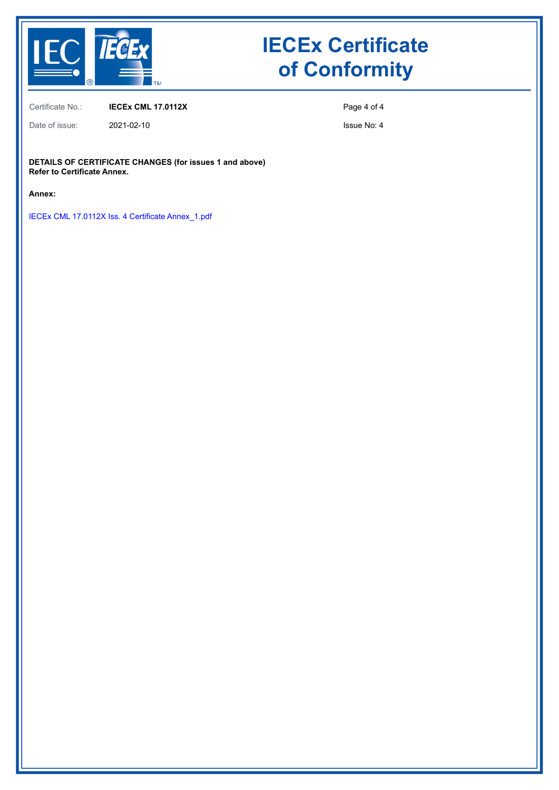

Certificate No.: **IECEx CML 17.0112X**

Date of issue: 2021-02-10

Page 4 of 4

Issue No: 4

**DETAILS OF CERTIFICATE CHANGES (for issues 1 and above) Refer to Certificate Annex.** 

**Annex:**

[IECEx CML 17.0112X Iss. 4 Certificate Annex\\_1.pdf](https://www.iecex-certs.com/deliverables/CERT/51948/view)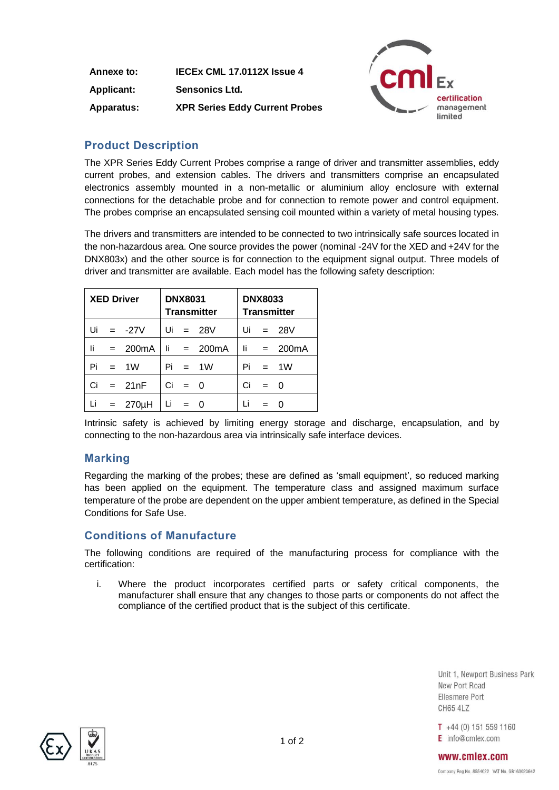**Annexe to: IECEx CML 17.0112X Issue 4 Applicant: Sensonics Ltd. Apparatus: XPR Series Eddy Current Probes**



## **Product Description**

The XPR Series Eddy Current Probes comprise a range of driver and transmitter assemblies, eddy current probes, and extension cables. The drivers and transmitters comprise an encapsulated electronics assembly mounted in a non-metallic or aluminium alloy enclosure with external connections for the detachable probe and for connection to remote power and control equipment. The probes comprise an encapsulated sensing coil mounted within a variety of metal housing types.

The drivers and transmitters are intended to be connected to two intrinsically safe sources located in the non-hazardous area. One source provides the power (nominal -24V for the XED and +24V for the DNX803x) and the other source is for connection to the equipment signal output. Three models of driver and transmitter are available. Each model has the following safety description:

| <b>XED Driver</b> |  | <b>DNX8031</b><br><b>Transmitter</b> |    | <b>DNX8033</b><br><b>Transmitter</b> |                       |    |       |                       |
|-------------------|--|--------------------------------------|----|--------------------------------------|-----------------------|----|-------|-----------------------|
|                   |  | Ui = $-27V$                          |    |                                      | Ui = $28V$            |    |       | Ui = $28V$            |
| li                |  | $= 200mA$                            |    |                                      | $\mathsf{li}$ = 200mA |    |       | $\mathsf{li}$ = 200mA |
| Pi                |  | $= 1W$                               |    |                                      | $Pi = 1W$             |    |       | $Pi = 1W$             |
|                   |  | $Ci = 21nF$                          |    | $Ci = 0$                             |                       | Ci | $= 0$ |                       |
|                   |  | Li = $270\mu$ H                      | Li |                                      | $\Omega$              | Li |       |                       |

Intrinsic safety is achieved by limiting energy storage and discharge, encapsulation, and by connecting to the non-hazardous area via intrinsically safe interface devices.

### **Marking**

Regarding the marking of the probes; these are defined as 'small equipment', so reduced marking has been applied on the equipment. The temperature class and assigned maximum surface temperature of the probe are dependent on the upper ambient temperature, as defined in the Special Conditions for Safe Use.

### **Conditions of Manufacture**

The following conditions are required of the manufacturing process for compliance with the certification:

i. Where the product incorporates certified parts or safety critical components, the manufacturer shall ensure that any changes to those parts or components do not affect the compliance of the certified product that is the subject of this certificate.

> Unit 1. Newport Business Park New Port Road Fllesmere Port **CH65 4LZ**

 $T +44(0) 151 559 1160$  $E$  info@cmlex.com